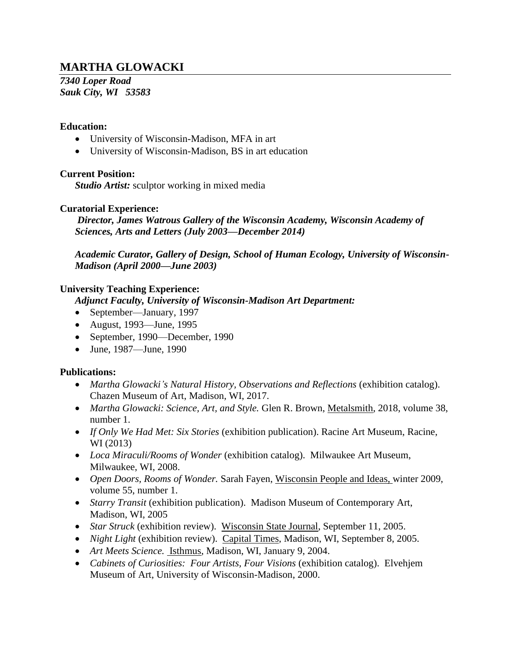# **MARTHA GLOWACKI**

*7340 Loper Road Sauk City, WI 53583*

#### **Education:**

- University of Wisconsin-Madison, MFA in art
- University of Wisconsin-Madison, BS in art education

#### **Current Position:**

*Studio Artist:* sculptor working in mixed media

#### **Curatorial Experience:**

*Director, James Watrous Gallery of the Wisconsin Academy, Wisconsin Academy of Sciences, Arts and Letters (July 2003—December 2014)*

*Academic Curator, Gallery of Design, School of Human Ecology, University of Wisconsin-Madison (April 2000—June 2003)*

#### **University Teaching Experience:**

*Adjunct Faculty, University of Wisconsin-Madison Art Department:*

- September—January, 1997
- August, 1993—June, 1995
- September, 1990—December, 1990
- June, 1987—June, 1990

### **Publications:**

- *Martha Glowacki's Natural History, Observations and Reflections* (exhibition catalog). Chazen Museum of Art, Madison, WI, 2017.
- *Martha Glowacki: Science, Art, and Style.* Glen R. Brown, Metalsmith, 2018, volume 38, number 1.
- *If Only We Had Met: Six Stories* (exhibition publication). Racine Art Museum, Racine, WI (2013)
- *Loca Miraculi/Rooms of Wonder* (exhibition catalog). Milwaukee Art Museum, Milwaukee, WI, 2008.
- *Open Doors, Rooms of Wonder.* Sarah Fayen, Wisconsin People and Ideas, winter 2009, volume 55, number 1.
- *Starry Transit* (exhibition publication). Madison Museum of Contemporary Art, Madison, WI, 2005
- *Star Struck* (exhibition review). Wisconsin State Journal, September 11, 2005.
- *Night Light* (exhibition review). Capital Times, Madison, WI, September 8, 2005.
- *Art Meets Science.* Isthmus, Madison, WI, January 9, 2004.
- *Cabinets of Curiosities: Four Artists, Four Visions* (exhibition catalog). Elvehjem Museum of Art, University of Wisconsin-Madison, 2000.